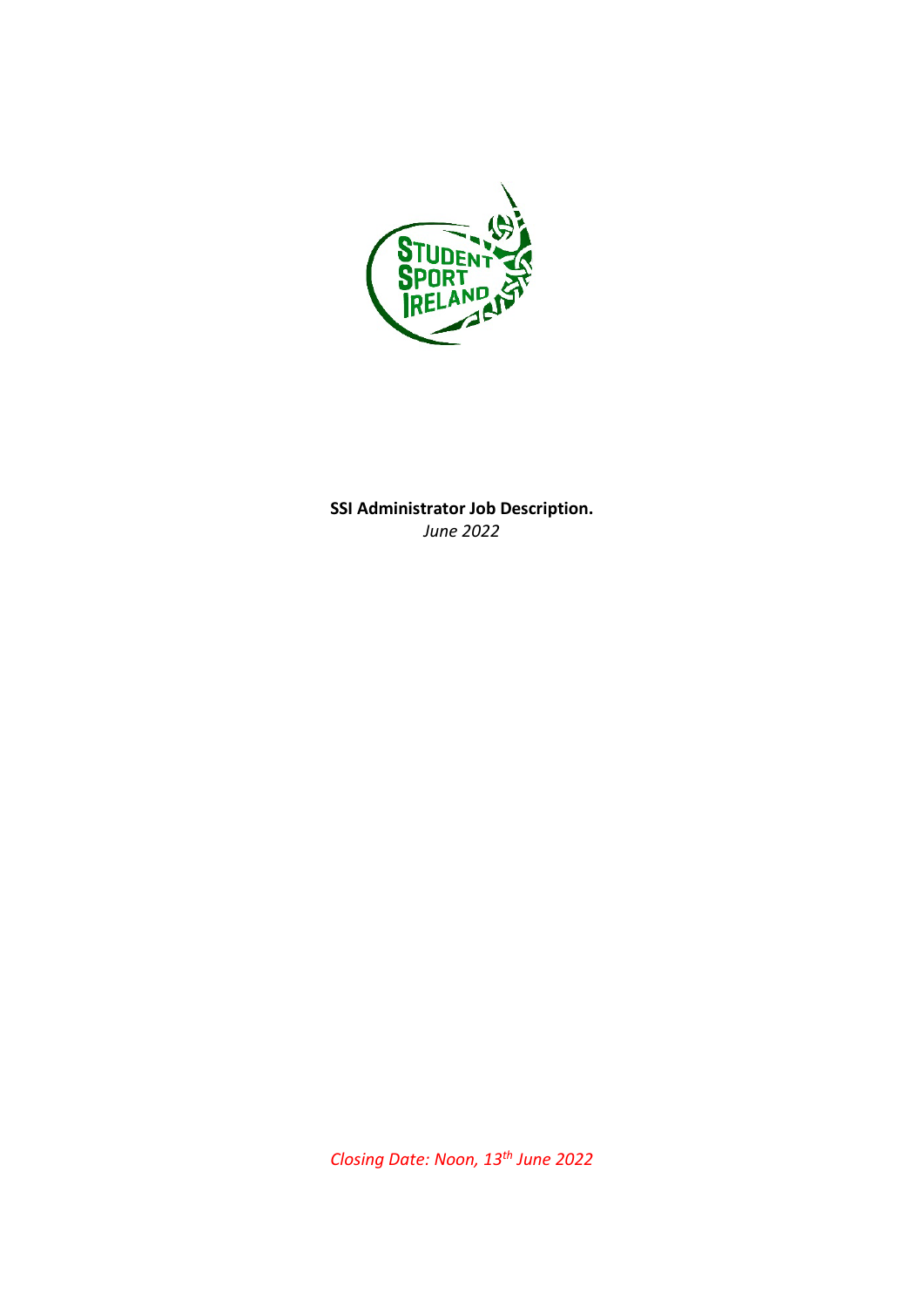

**SSI Administrator Job Description.** *June 2022*

*Closing Date: Noon, 13th June 2022*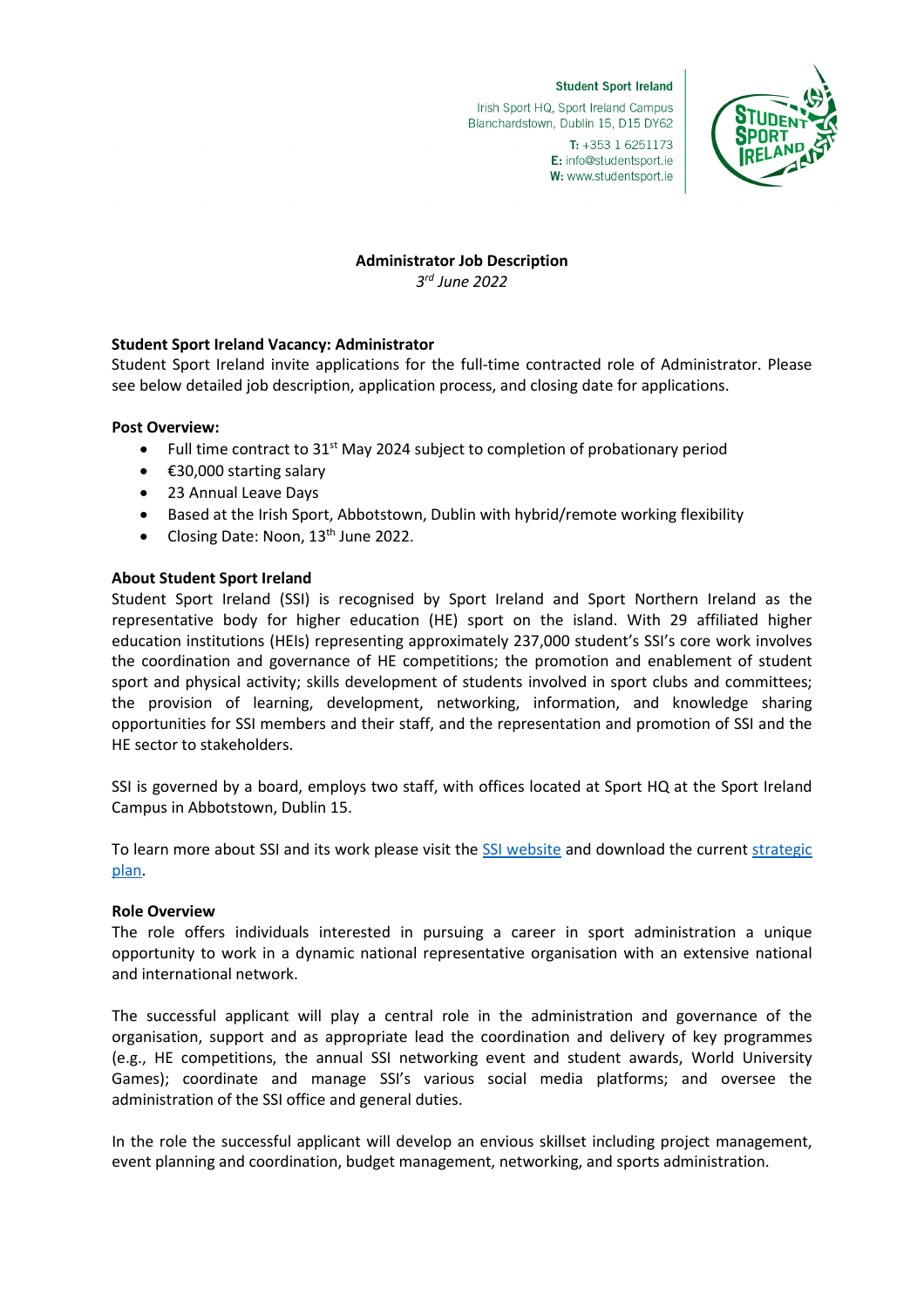#### **Student Sport Ireland**

Irish Sport HQ, Sport Ireland Campus Blanchardstown, Dublin 15, D15 DY62



T: +353 1 6251173 E: info@studentsport.ie W: www.studentsport.ie

# **Administrator Job Description**

*3rd June 2022*

# **Student Sport Ireland Vacancy: Administrator**

Student Sport Ireland invite applications for the full-time contracted role of Administrator. Please see below detailed job description, application process, and closing date for applications.

# **Post Overview:**

- Full time contract to  $31<sup>st</sup>$  May 2024 subject to completion of probationary period
- €30,000 starting salary
- 23 Annual Leave Days
- Based at the Irish Sport, Abbotstown, Dublin with hybrid/remote working flexibility
- Closing Date: Noon, 13<sup>th</sup> June 2022.

# **About Student Sport Ireland**

Student Sport Ireland (SSI) is recognised by Sport Ireland and Sport Northern Ireland as the representative body for higher education (HE) sport on the island. With 29 affiliated higher education institutions (HEIs) representing approximately 237,000 student's SSI's core work involves the coordination and governance of HE competitions; the promotion and enablement of student sport and physical activity; skills development of students involved in sport clubs and committees; the provision of learning, development, networking, information, and knowledge sharing opportunities for SSI members and their staff, and the representation and promotion of SSI and the HE sector to stakeholders.

SSI is governed by a board, employs two staff, with offices located at Sport HQ at the Sport Ireland Campus in Abbotstown, Dublin 15.

To learn more about SSI and its work please visit the [SSI website](https://www.studentsport.ie/) and download the current strategic [plan.](https://www.studentsport.ie/wp-content/uploads/2021/10/2021-SSI-Strategic-Plan-FINAL.pdf)

## **Role Overview**

The role offers individuals interested in pursuing a career in sport administration a unique opportunity to work in a dynamic national representative organisation with an extensive national and international network.

The successful applicant will play a central role in the administration and governance of the organisation, support and as appropriate lead the coordination and delivery of key programmes (e.g., HE competitions, the annual SSI networking event and student awards, World University Games); coordinate and manage SSI's various social media platforms; and oversee the administration of the SSI office and general duties.

In the role the successful applicant will develop an envious skillset including project management, event planning and coordination, budget management, networking, and sports administration.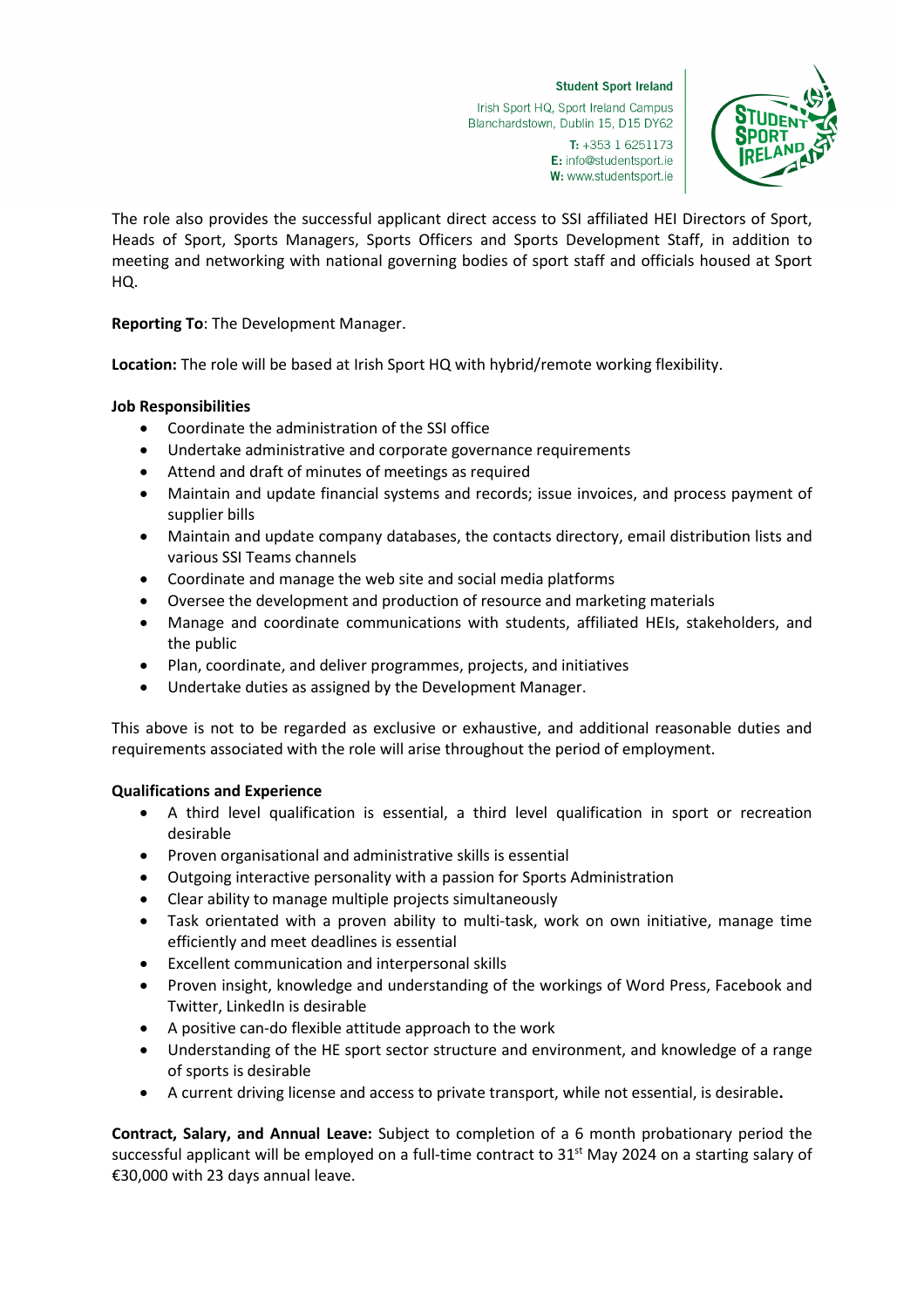#### **Student Sport Ireland**

W: www.studentsport.ie

Irish Sport HQ, Sport Ireland Campus Blanchardstown, Dublin 15, D15 DY62  $T: +35316251173$ E: info@studentsport.ie



The role also provides the successful applicant direct access to SSI affiliated HEI Directors of Sport, Heads of Sport, Sports Managers, Sports Officers and Sports Development Staff, in addition to meeting and networking with national governing bodies of sport staff and officials housed at Sport HQ.

# **Reporting To**: The Development Manager.

**Location:** The role will be based at Irish Sport HQ with hybrid/remote working flexibility.

## **Job Responsibilities**

- Coordinate the administration of the SSI office
- Undertake administrative and corporate governance requirements
- Attend and draft of minutes of meetings as required
- Maintain and update financial systems and records; issue invoices, and process payment of supplier bills
- Maintain and update company databases, the contacts directory, email distribution lists and various SSI Teams channels
- Coordinate and manage the web site and social media platforms
- Oversee the development and production of resource and marketing materials
- Manage and coordinate communications with students, affiliated HEIs, stakeholders, and the public
- Plan, coordinate, and deliver programmes, projects, and initiatives
- Undertake duties as assigned by the Development Manager.

This above is not to be regarded as exclusive or exhaustive, and additional reasonable duties and requirements associated with the role will arise throughout the period of employment.

## **Qualifications and Experience**

- A third level qualification is essential, a third level qualification in sport or recreation desirable
- Proven organisational and administrative skills is essential
- Outgoing interactive personality with a passion for Sports Administration
- Clear ability to manage multiple projects simultaneously
- Task orientated with a proven ability to multi-task, work on own initiative, manage time efficiently and meet deadlines is essential
- Excellent communication and interpersonal skills
- Proven insight, knowledge and understanding of the workings of Word Press, Facebook and Twitter, LinkedIn is desirable
- A positive can-do flexible attitude approach to the work
- Understanding of the HE sport sector structure and environment, and knowledge of a range of sports is desirable
- A current driving license and access to private transport, while not essential, is desirable**.**

**Contract, Salary, and Annual Leave:** Subject to completion of a 6 month probationary period the successful applicant will be employed on a full-time contract to 31<sup>st</sup> May 2024 on a starting salary of €30,000 with 23 days annual leave.